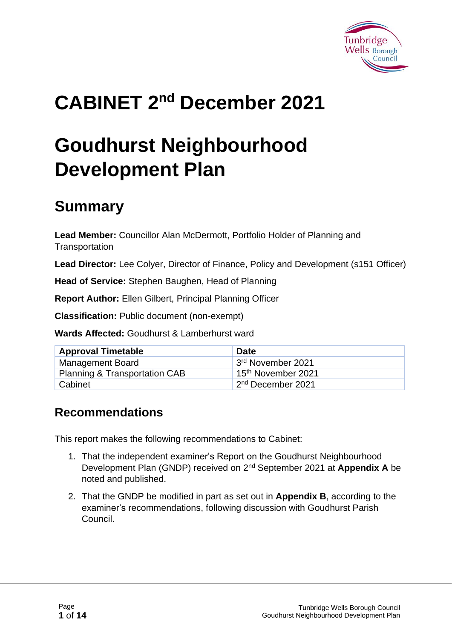

# **CABINET 2 nd December 2021**

# **Goudhurst Neighbourhood Development Plan**

### **Summary**

**Lead Member:** Councillor Alan McDermott, Portfolio Holder of Planning and **Transportation** 

**Lead Director:** Lee Colyer, Director of Finance, Policy and Development (s151 Officer)

**Head of Service:** Stephen Baughen, Head of Planning

**Report Author:** Ellen Gilbert, Principal Planning Officer

**Classification:** Public document (non-exempt)

**Wards Affected:** Goudhurst & Lamberhurst ward

| <b>Approval Timetable</b>                | <b>Date</b>                    |
|------------------------------------------|--------------------------------|
| <b>Management Board</b>                  | 3 <sup>rd</sup> November 2021  |
| <b>Planning &amp; Transportation CAB</b> | 15 <sup>th</sup> November 2021 |
| <sup>1</sup> Cabinet                     | 2 <sup>nd</sup> December 2021  |

#### **Recommendations**

This report makes the following recommendations to Cabinet:

- 1. That the independent examiner's Report on the Goudhurst Neighbourhood Development Plan (GNDP) received on 2<sup>nd</sup> September 2021 at **Appendix A** be noted and published.
- 2. That the GNDP be modified in part as set out in **Appendix B**, according to the examiner's recommendations, following discussion with Goudhurst Parish Council.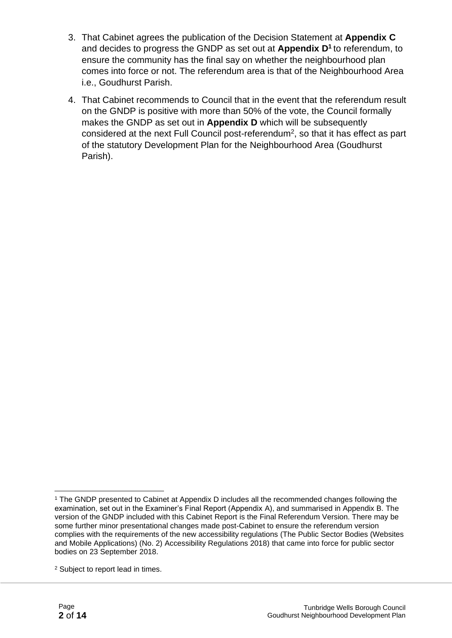- 3. That Cabinet agrees the publication of the Decision Statement at **Appendix C** and decides to progress the GNDP as set out at **Appendix D<sup>1</sup>** to referendum, to ensure the community has the final say on whether the neighbourhood plan comes into force or not. The referendum area is that of the Neighbourhood Area i.e., Goudhurst Parish.
- 4. That Cabinet recommends to Council that in the event that the referendum result on the GNDP is positive with more than 50% of the vote, the Council formally makes the GNDP as set out in **Appendix D** which will be subsequently considered at the next Full Council post-referendum<sup>2</sup>, so that it has effect as part of the statutory Development Plan for the Neighbourhood Area (Goudhurst Parish).

<sup>1</sup> The GNDP presented to Cabinet at Appendix D includes all the recommended changes following the examination, set out in the Examiner's Final Report (Appendix A), and summarised in Appendix B. The version of the GNDP included with this Cabinet Report is the Final Referendum Version. There may be some further minor presentational changes made post-Cabinet to ensure the referendum version complies with the requirements of the new accessibility regulations (The Public Sector Bodies (Websites and Mobile Applications) (No. 2) Accessibility Regulations 2018) that came into force for public sector bodies on 23 September 2018.

<sup>2</sup> Subject to report lead in times.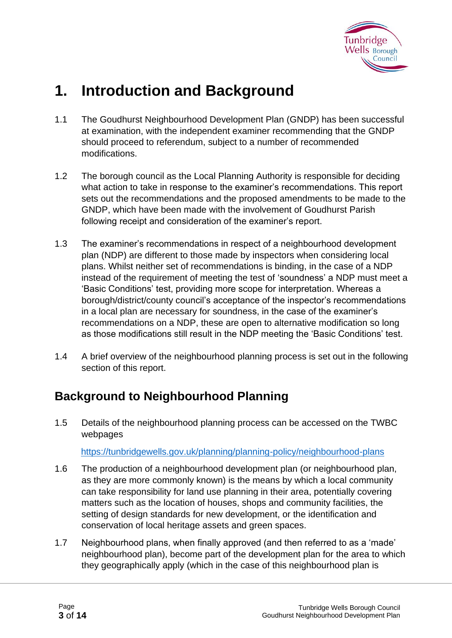

### **1. Introduction and Background**

- 1.1 The Goudhurst Neighbourhood Development Plan (GNDP) has been successful at examination, with the independent examiner recommending that the GNDP should proceed to referendum, subject to a number of recommended modifications.
- 1.2 The borough council as the Local Planning Authority is responsible for deciding what action to take in response to the examiner's recommendations. This report sets out the recommendations and the proposed amendments to be made to the GNDP, which have been made with the involvement of Goudhurst Parish following receipt and consideration of the examiner's report.
- 1.3 The examiner's recommendations in respect of a neighbourhood development plan (NDP) are different to those made by inspectors when considering local plans. Whilst neither set of recommendations is binding, in the case of a NDP instead of the requirement of meeting the test of 'soundness' a NDP must meet a 'Basic Conditions' test, providing more scope for interpretation. Whereas a borough/district/county council's acceptance of the inspector's recommendations in a local plan are necessary for soundness, in the case of the examiner's recommendations on a NDP, these are open to alternative modification so long as those modifications still result in the NDP meeting the 'Basic Conditions' test.
- 1.4 A brief overview of the neighbourhood planning process is set out in the following section of this report.

#### **Background to Neighbourhood Planning**

1.5 Details of the neighbourhood planning process can be accessed on the TWBC webpages

<https://tunbridgewells.gov.uk/planning/planning-policy/neighbourhood-plans>

- 1.6 The production of a neighbourhood development plan (or neighbourhood plan, as they are more commonly known) is the means by which a local community can take responsibility for land use planning in their area, potentially covering matters such as the location of houses, shops and community facilities, the setting of design standards for new development, or the identification and conservation of local heritage assets and green spaces.
- 1.7 Neighbourhood plans, when finally approved (and then referred to as a 'made' neighbourhood plan), become part of the development plan for the area to which they geographically apply (which in the case of this neighbourhood plan is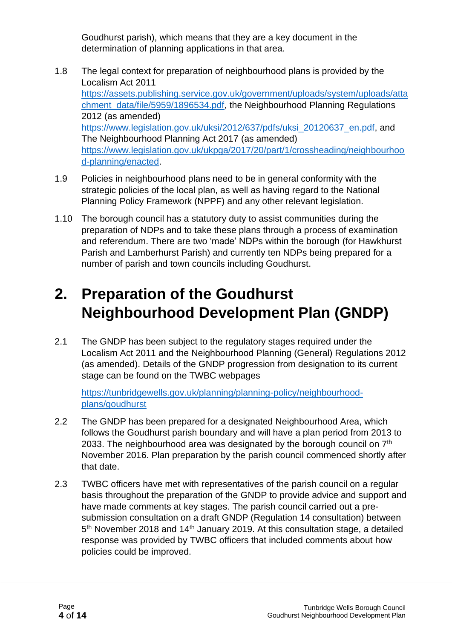Goudhurst parish), which means that they are a key document in the determination of planning applications in that area.

- 1.8 The legal context for preparation of neighbourhood plans is provided by the Localism Act 2011 [https://assets.publishing.service.gov.uk/government/uploads/system/uploads/atta](https://assets.publishing.service.gov.uk/government/uploads/system/uploads/attachment_data/file/5959/1896534.pdf) [chment\\_data/file/5959/1896534.pdf,](https://assets.publishing.service.gov.uk/government/uploads/system/uploads/attachment_data/file/5959/1896534.pdf) the Neighbourhood Planning Regulations 2012 (as amended) [https://www.legislation.gov.uk/uksi/2012/637/pdfs/uksi\\_20120637\\_en.pdf,](https://www.legislation.gov.uk/uksi/2012/637/pdfs/uksi_20120637_en.pdf) and The Neighbourhood Planning Act 2017 (as amended) [https://www.legislation.gov.uk/ukpga/2017/20/part/1/crossheading/neighbourhoo](https://www.legislation.gov.uk/ukpga/2017/20/part/1/crossheading/neighbourhood-planning/enacted) [d-planning/enacted.](https://www.legislation.gov.uk/ukpga/2017/20/part/1/crossheading/neighbourhood-planning/enacted)
- 1.9 Policies in neighbourhood plans need to be in general conformity with the strategic policies of the local plan, as well as having regard to the National Planning Policy Framework (NPPF) and any other relevant legislation.
- 1.10 The borough council has a statutory duty to assist communities during the preparation of NDPs and to take these plans through a process of examination and referendum. There are two 'made' NDPs within the borough (for Hawkhurst Parish and Lamberhurst Parish) and currently ten NDPs being prepared for a number of parish and town councils including Goudhurst.

### **2. Preparation of the Goudhurst Neighbourhood Development Plan (GNDP)**

2.1 The GNDP has been subject to the regulatory stages required under the Localism Act 2011 and the Neighbourhood Planning (General) Regulations 2012 (as amended). Details of the GNDP progression from designation to its current stage can be found on the TWBC webpages

[https://tunbridgewells.gov.uk/planning/planning-policy/neighbourhood](https://tunbridgewells.gov.uk/planning/planning-policy/neighbourhood-plans/goudhurst)[plans/goudhurst](https://tunbridgewells.gov.uk/planning/planning-policy/neighbourhood-plans/goudhurst)

- 2.2 The GNDP has been prepared for a designated Neighbourhood Area, which follows the Goudhurst parish boundary and will have a plan period from 2013 to 2033. The neighbourhood area was designated by the borough council on  $7<sup>th</sup>$ November 2016. Plan preparation by the parish council commenced shortly after that date.
- 2.3 TWBC officers have met with representatives of the parish council on a regular basis throughout the preparation of the GNDP to provide advice and support and have made comments at key stages. The parish council carried out a presubmission consultation on a draft GNDP (Regulation 14 consultation) between 5<sup>th</sup> November 2018 and 14<sup>th</sup> January 2019. At this consultation stage, a detailed response was provided by TWBC officers that included comments about how policies could be improved.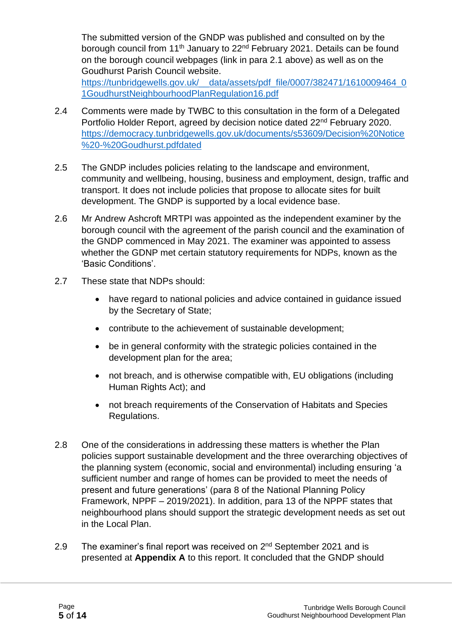The submitted version of the GNDP was published and consulted on by the borough council from 11<sup>th</sup> January to 22<sup>nd</sup> February 2021. Details can be found on the borough council webpages (link in para 2.1 above) as well as on the Goudhurst Parish Council website.

[https://tunbridgewells.gov.uk/\\_\\_data/assets/pdf\\_file/0007/382471/1610009464\\_0](https://tunbridgewells.gov.uk/__data/assets/pdf_file/0007/382471/1610009464_01GoudhurstNeighbourhoodPlanRegulation16.pdf) [1GoudhurstNeighbourhoodPlanRegulation16.pdf](https://tunbridgewells.gov.uk/__data/assets/pdf_file/0007/382471/1610009464_01GoudhurstNeighbourhoodPlanRegulation16.pdf)

- 2.4 Comments were made by TWBC to this consultation in the form of a Delegated Portfolio Holder Report, agreed by decision notice dated 22<sup>nd</sup> February 2020. [https://democracy.tunbridgewells.gov.uk/documents/s53609/Decision%20Notice](https://democracy.tunbridgewells.gov.uk/documents/s53609/Decision%20Notice%20-%20Goudhurst.pdfdated) [%20-%20Goudhurst.pdfdated](https://democracy.tunbridgewells.gov.uk/documents/s53609/Decision%20Notice%20-%20Goudhurst.pdfdated)
- 2.5 The GNDP includes policies relating to the landscape and environment, community and wellbeing, housing, business and employment, design, traffic and transport. It does not include policies that propose to allocate sites for built development. The GNDP is supported by a local evidence base.
- 2.6 Mr Andrew Ashcroft MRTPI was appointed as the independent examiner by the borough council with the agreement of the parish council and the examination of the GNDP commenced in May 2021. The examiner was appointed to assess whether the GDNP met certain statutory requirements for NDPs, known as the 'Basic Conditions'.
- 2.7 These state that NDPs should:
	- have regard to national policies and advice contained in guidance issued by the Secretary of State;
	- contribute to the achievement of sustainable development;
	- be in general conformity with the strategic policies contained in the development plan for the area;
	- not breach, and is otherwise compatible with, EU obligations (including Human Rights Act); and
	- not breach requirements of the Conservation of Habitats and Species Regulations.
- 2.8 One of the considerations in addressing these matters is whether the Plan policies support sustainable development and the three overarching objectives of the planning system (economic, social and environmental) including ensuring 'a sufficient number and range of homes can be provided to meet the needs of present and future generations' (para 8 of the National Planning Policy Framework, NPPF – 2019/2021). In addition, para 13 of the NPPF states that neighbourhood plans should support the strategic development needs as set out in the Local Plan.
- 2.9 The examiner's final report was received on  $2<sup>nd</sup>$  September 2021 and is presented at **Appendix A** to this report. It concluded that the GNDP should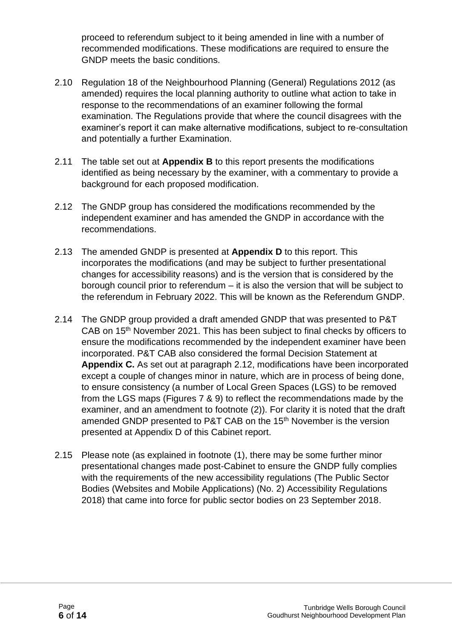proceed to referendum subject to it being amended in line with a number of recommended modifications. These modifications are required to ensure the GNDP meets the basic conditions.

- 2.10 Regulation 18 of the Neighbourhood Planning (General) Regulations 2012 (as amended) requires the local planning authority to outline what action to take in response to the recommendations of an examiner following the formal examination. The Regulations provide that where the council disagrees with the examiner's report it can make alternative modifications, subject to re-consultation and potentially a further Examination.
- 2.11 The table set out at **Appendix B** to this report presents the modifications identified as being necessary by the examiner, with a commentary to provide a background for each proposed modification.
- 2.12 The GNDP group has considered the modifications recommended by the independent examiner and has amended the GNDP in accordance with the recommendations.
- 2.13 The amended GNDP is presented at **Appendix D** to this report. This incorporates the modifications (and may be subject to further presentational changes for accessibility reasons) and is the version that is considered by the borough council prior to referendum – it is also the version that will be subject to the referendum in February 2022. This will be known as the Referendum GNDP.
- 2.14 The GNDP group provided a draft amended GNDP that was presented to P&T CAB on 15<sup>th</sup> November 2021. This has been subject to final checks by officers to ensure the modifications recommended by the independent examiner have been incorporated. P&T CAB also considered the formal Decision Statement at **Appendix C.** As set out at paragraph 2.12, modifications have been incorporated except a couple of changes minor in nature, which are in process of being done, to ensure consistency (a number of Local Green Spaces (LGS) to be removed from the LGS maps (Figures 7 & 9) to reflect the recommendations made by the examiner, and an amendment to footnote (2)). For clarity it is noted that the draft amended GNDP presented to P&T CAB on the 15<sup>th</sup> November is the version presented at Appendix D of this Cabinet report.
- 2.15 Please note (as explained in footnote (1), there may be some further minor presentational changes made post-Cabinet to ensure the GNDP fully complies with the requirements of the new accessibility regulations (The Public Sector Bodies (Websites and Mobile Applications) (No. 2) Accessibility Regulations 2018) that came into force for public sector bodies on 23 September 2018.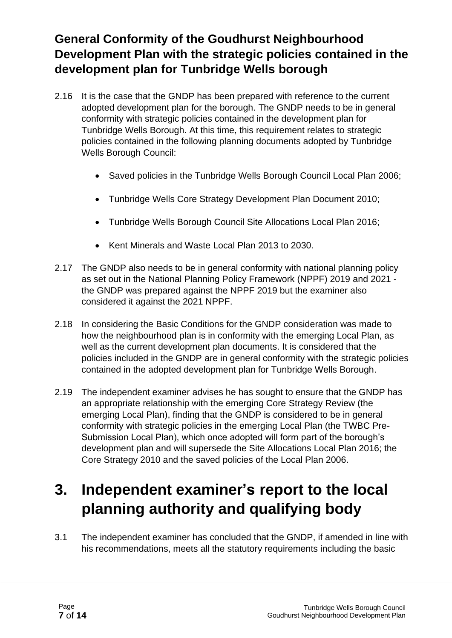### **General Conformity of the Goudhurst Neighbourhood Development Plan with the strategic policies contained in the development plan for Tunbridge Wells borough**

- 2.16 It is the case that the GNDP has been prepared with reference to the current adopted development plan for the borough. The GNDP needs to be in general conformity with strategic policies contained in the development plan for Tunbridge Wells Borough. At this time, this requirement relates to strategic policies contained in the following planning documents adopted by Tunbridge Wells Borough Council:
	- Saved policies in the Tunbridge Wells Borough Council Local Plan 2006;
	- Tunbridge Wells Core Strategy Development Plan Document 2010;
	- Tunbridge Wells Borough Council Site Allocations Local Plan 2016;
	- Kent Minerals and Waste Local Plan 2013 to 2030.
- 2.17 The GNDP also needs to be in general conformity with national planning policy as set out in the National Planning Policy Framework (NPPF) 2019 and 2021 the GNDP was prepared against the NPPF 2019 but the examiner also considered it against the 2021 NPPF.
- 2.18 In considering the Basic Conditions for the GNDP consideration was made to how the neighbourhood plan is in conformity with the emerging Local Plan, as well as the current development plan documents. It is considered that the policies included in the GNDP are in general conformity with the strategic policies contained in the adopted development plan for Tunbridge Wells Borough.
- 2.19 The independent examiner advises he has sought to ensure that the GNDP has an appropriate relationship with the emerging Core Strategy Review (the emerging Local Plan), finding that the GNDP is considered to be in general conformity with strategic policies in the emerging Local Plan (the TWBC Pre-Submission Local Plan), which once adopted will form part of the borough's development plan and will supersede the Site Allocations Local Plan 2016; the Core Strategy 2010 and the saved policies of the Local Plan 2006.

### **3. Independent examiner's report to the local planning authority and qualifying body**

3.1 The independent examiner has concluded that the GNDP, if amended in line with his recommendations, meets all the statutory requirements including the basic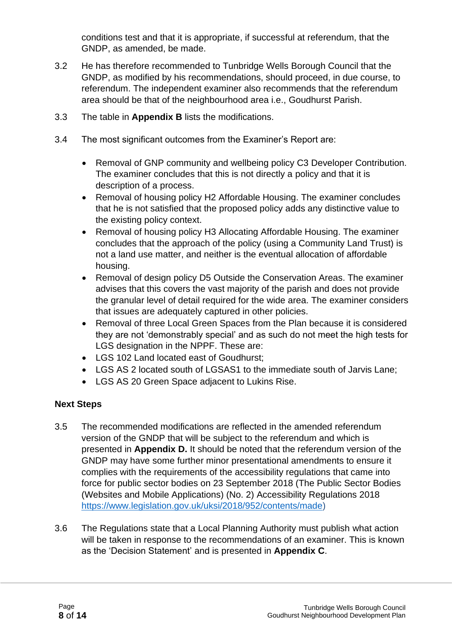conditions test and that it is appropriate, if successful at referendum, that the GNDP, as amended, be made.

- 3.2 He has therefore recommended to Tunbridge Wells Borough Council that the GNDP, as modified by his recommendations, should proceed, in due course, to referendum. The independent examiner also recommends that the referendum area should be that of the neighbourhood area i.e., Goudhurst Parish.
- 3.3 The table in **Appendix B** lists the modifications.
- 3.4 The most significant outcomes from the Examiner's Report are:
	- Removal of GNP community and wellbeing policy C3 Developer Contribution. The examiner concludes that this is not directly a policy and that it is description of a process.
	- Removal of housing policy H2 Affordable Housing. The examiner concludes that he is not satisfied that the proposed policy adds any distinctive value to the existing policy context.
	- Removal of housing policy H3 Allocating Affordable Housing. The examiner concludes that the approach of the policy (using a Community Land Trust) is not a land use matter, and neither is the eventual allocation of affordable housing.
	- Removal of design policy D5 Outside the Conservation Areas. The examiner advises that this covers the vast majority of the parish and does not provide the granular level of detail required for the wide area. The examiner considers that issues are adequately captured in other policies.
	- Removal of three Local Green Spaces from the Plan because it is considered they are not 'demonstrably special' and as such do not meet the high tests for LGS designation in the NPPF. These are:
	- LGS 102 Land located east of Goudhurst;
	- LGS AS 2 located south of LGSAS1 to the immediate south of Jarvis Lane;
	- LGS AS 20 Green Space adjacent to Lukins Rise.

#### **Next Steps**

- 3.5 The recommended modifications are reflected in the amended referendum version of the GNDP that will be subject to the referendum and which is presented in **Appendix D.** It should be noted that the referendum version of the GNDP may have some further minor presentational amendments to ensure it complies with the requirements of the accessibility regulations that came into force for public sector bodies on 23 September 2018 (The Public Sector Bodies (Websites and Mobile Applications) (No. 2) Accessibility Regulations 2018 [https://www.legislation.gov.uk/uksi/2018/952/contents/made\)](https://www.legislation.gov.uk/uksi/2018/952/contents/made)
- 3.6 The Regulations state that a Local Planning Authority must publish what action will be taken in response to the recommendations of an examiner. This is known as the 'Decision Statement' and is presented in **Appendix C**.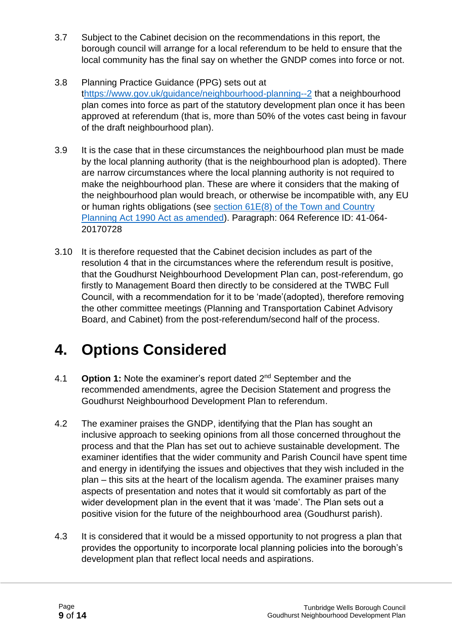- 3.7 Subject to the Cabinet decision on the recommendations in this report, the borough council will arrange for a local referendum to be held to ensure that the local community has the final say on whether the GNDP comes into force or not.
- 3.8 Planning Practice Guidance (PPG) sets out at [thttps://www.gov.uk/guidance/neighbourhood-planning--2](https://www.gov.uk/guidance/neighbourhood-planning--2) that a neighbourhood plan comes into force as part of the statutory development plan once it has been approved at referendum (that is, more than 50% of the votes cast being in favour of the draft neighbourhood plan).
- 3.9 It is the case that in these circumstances the neighbourhood plan must be made by the local planning authority (that is the neighbourhood plan is adopted). There are narrow circumstances where the local planning authority is not required to make the neighbourhood plan. These are where it considers that the making of the neighbourhood plan would breach, or otherwise be incompatible with, any EU or human rights obligations (see [section 61E\(8\) of the Town and Country](http://www.legislation.gov.uk/ukpga/2011/20/schedule/9/enacted)  [Planning Act 1990 Act as amended\)](http://www.legislation.gov.uk/ukpga/2011/20/schedule/9/enacted). Paragraph: 064 Reference ID: 41-064- 20170728
- 3.10 It is therefore requested that the Cabinet decision includes as part of the resolution 4 that in the circumstances where the referendum result is positive, that the Goudhurst Neighbourhood Development Plan can, post-referendum, go firstly to Management Board then directly to be considered at the TWBC Full Council, with a recommendation for it to be 'made'(adopted), therefore removing the other committee meetings (Planning and Transportation Cabinet Advisory Board, and Cabinet) from the post-referendum/second half of the process.

### **4. Options Considered**

- 4.1 **Option 1:** Note the examiner's report dated 2<sup>nd</sup> September and the recommended amendments, agree the Decision Statement and progress the Goudhurst Neighbourhood Development Plan to referendum.
- 4.2 The examiner praises the GNDP, identifying that the Plan has sought an inclusive approach to seeking opinions from all those concerned throughout the process and that the Plan has set out to achieve sustainable development. The examiner identifies that the wider community and Parish Council have spent time and energy in identifying the issues and objectives that they wish included in the plan – this sits at the heart of the localism agenda. The examiner praises many aspects of presentation and notes that it would sit comfortably as part of the wider development plan in the event that it was 'made'. The Plan sets out a positive vision for the future of the neighbourhood area (Goudhurst parish).
- 4.3 It is considered that it would be a missed opportunity to not progress a plan that provides the opportunity to incorporate local planning policies into the borough's development plan that reflect local needs and aspirations.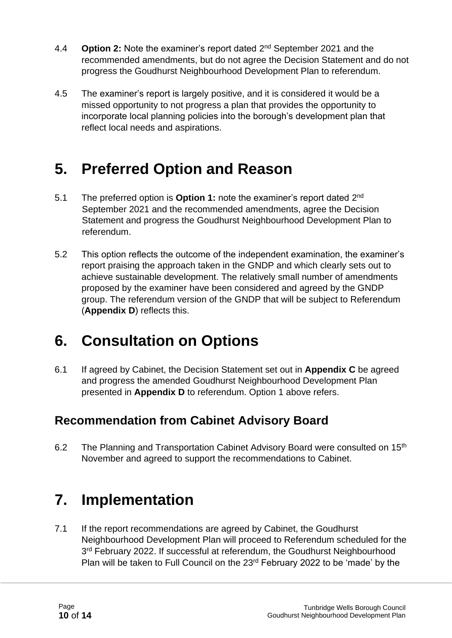- 4.4 **Option 2:** Note the examiner's report dated 2<sup>nd</sup> September 2021 and the recommended amendments, but do not agree the Decision Statement and do not progress the Goudhurst Neighbourhood Development Plan to referendum.
- 4.5 The examiner's report is largely positive, and it is considered it would be a missed opportunity to not progress a plan that provides the opportunity to incorporate local planning policies into the borough's development plan that reflect local needs and aspirations.

### **5. Preferred Option and Reason**

- 5.1 The preferred option is **Option 1:** note the examiner's report dated 2<sup>nd</sup> September 2021 and the recommended amendments, agree the Decision Statement and progress the Goudhurst Neighbourhood Development Plan to referendum.
- 5.2 This option reflects the outcome of the independent examination, the examiner's report praising the approach taken in the GNDP and which clearly sets out to achieve sustainable development. The relatively small number of amendments proposed by the examiner have been considered and agreed by the GNDP group. The referendum version of the GNDP that will be subject to Referendum (**Appendix D**) reflects this.

### **6. Consultation on Options**

6.1 If agreed by Cabinet, the Decision Statement set out in **Appendix C** be agreed and progress the amended Goudhurst Neighbourhood Development Plan presented in **Appendix D** to referendum. Option 1 above refers.

#### **Recommendation from Cabinet Advisory Board**

6.2 The Planning and Transportation Cabinet Advisory Board were consulted on 15<sup>th</sup> November and agreed to support the recommendations to Cabinet.

## **7. Implementation**

7.1 If the report recommendations are agreed by Cabinet, the Goudhurst Neighbourhood Development Plan will proceed to Referendum scheduled for the 3<sup>rd</sup> February 2022. If successful at referendum, the Goudhurst Neighbourhood Plan will be taken to Full Council on the 23rd February 2022 to be 'made' by the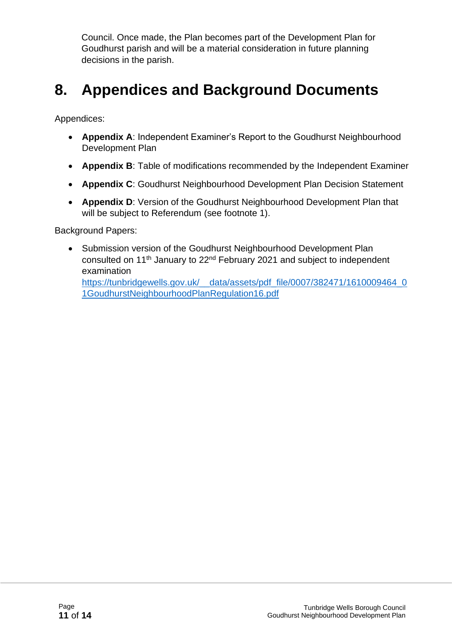Council. Once made, the Plan becomes part of the Development Plan for Goudhurst parish and will be a material consideration in future planning decisions in the parish.

### **8. Appendices and Background Documents**

Appendices:

- **Appendix A**: Independent Examiner's Report to the Goudhurst Neighbourhood Development Plan
- **Appendix B**: Table of modifications recommended by the Independent Examiner
- **Appendix C**: Goudhurst Neighbourhood Development Plan Decision Statement
- **Appendix D**: Version of the Goudhurst Neighbourhood Development Plan that will be subject to Referendum (see footnote 1).

Background Papers:

• Submission version of the Goudhurst Neighbourhood Development Plan consulted on 11<sup>th</sup> January to 22<sup>nd</sup> February 2021 and subject to independent examination

https://tunbridgewells.gov.uk/ data/assets/pdf\_file/0007/382471/1610009464\_0 [1GoudhurstNeighbourhoodPlanRegulation16.pdf](https://tunbridgewells.gov.uk/__data/assets/pdf_file/0007/382471/1610009464_01GoudhurstNeighbourhoodPlanRegulation16.pdf)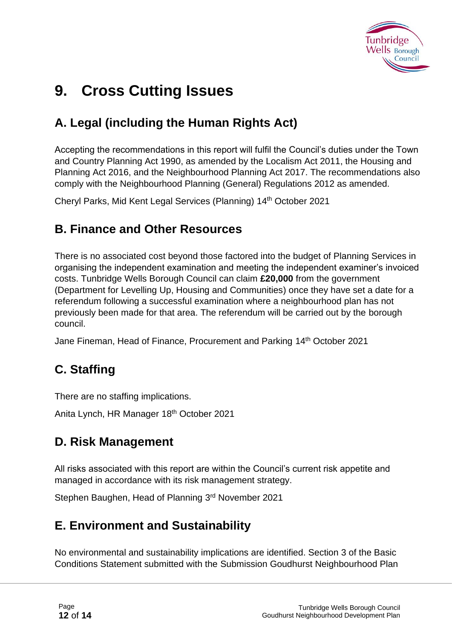

### **9. Cross Cutting Issues**

### **A. Legal (including the Human Rights Act)**

Accepting the recommendations in this report will fulfil the Council's duties under the Town and Country Planning Act 1990, as amended by the Localism Act 2011, the Housing and Planning Act 2016, and the Neighbourhood Planning Act 2017. The recommendations also comply with the Neighbourhood Planning (General) Regulations 2012 as amended.

Cheryl Parks, Mid Kent Legal Services (Planning) 14th October 2021

#### **B. Finance and Other Resources**

There is no associated cost beyond those factored into the budget of Planning Services in organising the independent examination and meeting the independent examiner's invoiced costs. Tunbridge Wells Borough Council can claim **£20,000** from the government (Department for Levelling Up, Housing and Communities) once they have set a date for a referendum following a successful examination where a neighbourhood plan has not previously been made for that area. The referendum will be carried out by the borough council.

Jane Fineman, Head of Finance, Procurement and Parking 14th October 2021

### **C. Staffing**

There are no staffing implications.

Anita Lynch, HR Manager 18<sup>th</sup> October 2021

#### **D. Risk Management**

All risks associated with this report are within the Council's current risk appetite and managed in accordance with its risk management strategy.

Stephen Baughen, Head of Planning 3rd November 2021

#### **E. Environment and Sustainability**

No environmental and sustainability implications are identified. Section 3 of the Basic Conditions Statement submitted with the Submission Goudhurst Neighbourhood Plan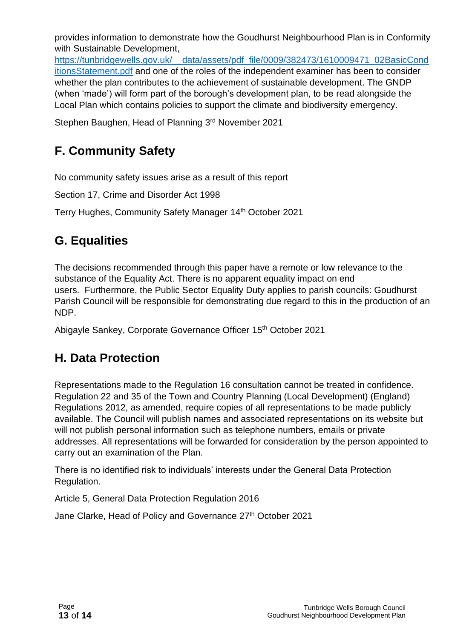provides information to demonstrate how the Goudhurst Neighbourhood Plan is in Conformity with Sustainable Development,

[https://tunbridgewells.gov.uk/\\_\\_data/assets/pdf\\_file/0009/382473/1610009471\\_02BasicCond](https://tunbridgewells.gov.uk/__data/assets/pdf_file/0009/382473/1610009471_02BasicConditionsStatement.pdf) [itionsStatement.pdf](https://tunbridgewells.gov.uk/__data/assets/pdf_file/0009/382473/1610009471_02BasicConditionsStatement.pdf) and one of the roles of the independent examiner has been to consider whether the plan contributes to the achievement of sustainable development. The GNDP (when 'made') will form part of the borough's development plan, to be read alongside the Local Plan which contains policies to support the climate and biodiversity emergency.

Stephen Baughen, Head of Planning 3rd November 2021

### **F. Community Safety**

No community safety issues arise as a result of this report

Section 17, Crime and Disorder Act 1998

Terry Hughes, Community Safety Manager 14<sup>th</sup> October 2021

#### **G. Equalities**

The decisions recommended through this paper have a remote or low relevance to the substance of the Equality Act. There is no apparent equality impact on end users. Furthermore, the Public Sector Equality Duty applies to parish councils: Goudhurst Parish Council will be responsible for demonstrating due regard to this in the production of an NDP.

Abigayle Sankey, Corporate Governance Officer 15th October 2021

### **H. Data Protection**

Representations made to the Regulation 16 consultation cannot be treated in confidence. Regulation 22 and 35 of the Town and Country Planning (Local Development) (England) Regulations 2012, as amended, require copies of all representations to be made publicly available. The Council will publish names and associated representations on its website but will not publish personal information such as telephone numbers, emails or private addresses. All representations will be forwarded for consideration by the person appointed to carry out an examination of the Plan.

There is no identified risk to individuals' interests under the General Data Protection Regulation.

Article 5, General Data Protection Regulation 2016

Jane Clarke, Head of Policy and Governance 27<sup>th</sup> October 2021